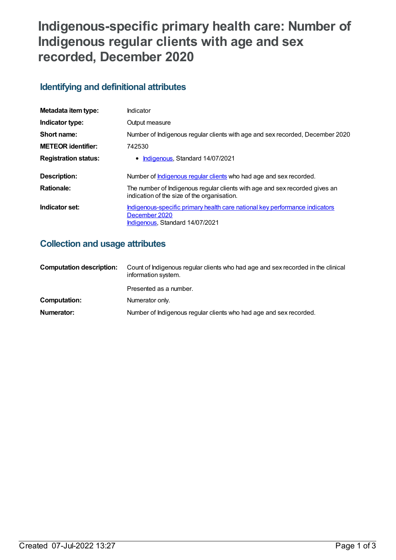# **Indigenous-specific primary health care: Number of Indigenous regular clients with age and sex recorded, December 2020**

## **Identifying and definitional attributes**

| Metadata item type:         | Indicator                                                                                                                       |
|-----------------------------|---------------------------------------------------------------------------------------------------------------------------------|
| Indicator type:             | Output measure                                                                                                                  |
| Short name:                 | Number of Indigenous regular clients with age and sex recorded, December 2020                                                   |
| <b>METEOR identifier:</b>   | 742530                                                                                                                          |
| <b>Registration status:</b> | • Indigenous, Standard 14/07/2021                                                                                               |
| <b>Description:</b>         | Number of <b>Indigenous regular clients</b> who had age and sex recorded.                                                       |
| <b>Rationale:</b>           | The number of Indigenous regular clients with age and sex recorded gives an<br>indication of the size of the organisation.      |
| Indicator set:              | Indigenous-specific primary health care national key performance indicators<br>December 2020<br>Indigenous, Standard 14/07/2021 |

## **Collection and usage attributes**

| <b>Computation description:</b> | Count of Indigenous regular clients who had age and sex recorded in the clinical<br>information system. |  |
|---------------------------------|---------------------------------------------------------------------------------------------------------|--|
|                                 | Presented as a number.                                                                                  |  |
| Computation:                    | Numerator only.                                                                                         |  |
| Numerator:                      | Number of Indigenous regular clients who had age and sex recorded.                                      |  |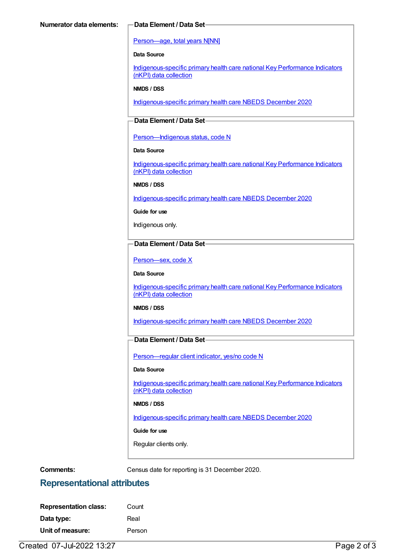#### [Person—age,](https://meteor.aihw.gov.au/content/303794) total years N[NN]

#### **Data Source**

[Indigenous-specific](https://meteor.aihw.gov.au/content/737914) primary health care national Key Performance Indicators (nKPI) data collection

#### **NMDS / DSS**

[Indigenous-specific](https://meteor.aihw.gov.au/content/738532) primary health care NBEDS December 2020

### **Data Element / Data Set**

Person-Indigenous status, code N

#### **Data Source**

[Indigenous-specific](https://meteor.aihw.gov.au/content/737914) primary health care national Key Performance Indicators (nKPI) data collection

#### **NMDS / DSS**

[Indigenous-specific](https://meteor.aihw.gov.au/content/738532) primary health care NBEDS December 2020

**Guide for use**

Indigenous only.

#### **Data Element / Data Set**

[Person—sex,](https://meteor.aihw.gov.au/content/635126) code X

#### **Data Source**

[Indigenous-specific](https://meteor.aihw.gov.au/content/737914) primary health care national Key Performance Indicators (nKPI) data collection

#### **NMDS / DSS**

[Indigenous-specific](https://meteor.aihw.gov.au/content/738532) primary health care NBEDS December 2020

#### **Data Element / Data Set**

[Person—regular](https://meteor.aihw.gov.au/content/686291) client indicator, yes/no code N

#### **Data Source**

[Indigenous-specific](https://meteor.aihw.gov.au/content/737914) primary health care national Key Performance Indicators (nKPI) data collection

#### **NMDS / DSS**

[Indigenous-specific](https://meteor.aihw.gov.au/content/738532) primary health care NBEDS December 2020

#### **Guide for use**

Regular clients only.

**Comments:** Census date for reporting is 31 December 2020.

## **Representational attributes**

| <b>Representation class:</b> | Count  |
|------------------------------|--------|
| Data type:                   | Real   |
| Unit of measure:             | Person |